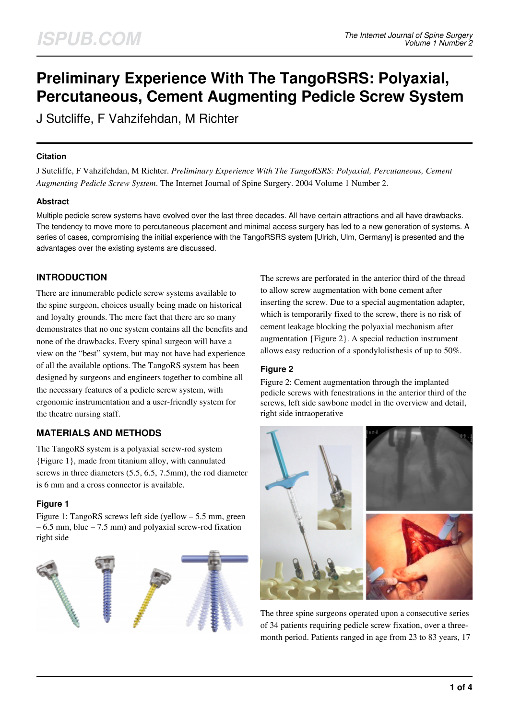# **Preliminary Experience With The TangoRSRS: Polyaxial, Percutaneous, Cement Augmenting Pedicle Screw System**

J Sutcliffe, F Vahzifehdan, M Richter

#### **Citation**

J Sutcliffe, F Vahzifehdan, M Richter. *Preliminary Experience With The TangoRSRS: Polyaxial, Percutaneous, Cement Augmenting Pedicle Screw System*. The Internet Journal of Spine Surgery. 2004 Volume 1 Number 2.

## **Abstract**

Multiple pedicle screw systems have evolved over the last three decades. All have certain attractions and all have drawbacks. The tendency to move more to percutaneous placement and minimal access surgery has led to a new generation of systems. A series of cases, compromising the initial experience with the TangoRSRS system [Ulrich, Ulm, Germany] is presented and the advantages over the existing systems are discussed.

# **INTRODUCTION**

There are innumerable pedicle screw systems available to the spine surgeon, choices usually being made on historical and loyalty grounds. The mere fact that there are so many demonstrates that no one system contains all the benefits and none of the drawbacks. Every spinal surgeon will have a view on the "best" system, but may not have had experience of all the available options. The TangoRS system has been designed by surgeons and engineers together to combine all the necessary features of a pedicle screw system, with ergonomic instrumentation and a user-friendly system for the theatre nursing staff.

# **MATERIALS AND METHODS**

The TangoRS system is a polyaxial screw-rod system {Figure 1}, made from titanium alloy, with cannulated screws in three diameters (5.5, 6.5, 7.5mm), the rod diameter is 6 mm and a cross connector is available.

## **Figure 1**

Figure 1: TangoRS screws left side (yellow – 5.5 mm, green – 6.5 mm, blue – 7.5 mm) and polyaxial screw-rod fixation right side



The screws are perforated in the anterior third of the thread to allow screw augmentation with bone cement after inserting the screw. Due to a special augmentation adapter, which is temporarily fixed to the screw, there is no risk of cement leakage blocking the polyaxial mechanism after augmentation {Figure 2}. A special reduction instrument allows easy reduction of a spondylolisthesis of up to 50%.

## **Figure 2**

Figure 2: Cement augmentation through the implanted pedicle screws with fenestrations in the anterior third of the screws, left side sawbone model in the overview and detail, right side intraoperative



The three spine surgeons operated upon a consecutive series of 34 patients requiring pedicle screw fixation, over a threemonth period. Patients ranged in age from 23 to 83 years, 17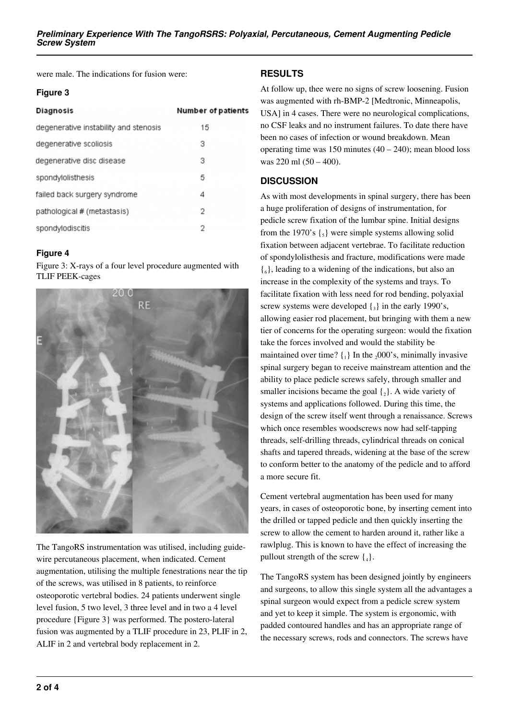were male. The indications for fusion were:

#### **Figure 3**

| Diagnosis                             | <b>Number of patients</b> |
|---------------------------------------|---------------------------|
| degenerative instability and stenosis | 15                        |
| degenerative scoliosis                | з                         |
| degenerative disc disease             | 3                         |
| spondylolisthesis                     | 5                         |
| failed back surgery syndrome          | 4                         |
| pathological # (metastasis)           | 2                         |
| spondylodiscitis                      | 2                         |

## **Figure 4**

Figure 3: X-rays of a four level procedure augmented with TLIF PEEK-cages



The TangoRS instrumentation was utilised, including guidewire percutaneous placement, when indicated. Cement augmentation, utilising the multiple fenestrations near the tip of the screws, was utilised in 8 patients, to reinforce osteoporotic vertebral bodies. 24 patients underwent single level fusion, 5 two level, 3 three level and in two a 4 level procedure {Figure 3} was performed. The postero-lateral fusion was augmented by a TLIF procedure in 23, PLIF in 2, ALIF in 2 and vertebral body replacement in 2.

# **RESULTS**

At follow up, thee were no signs of screw loosening. Fusion was augmented with rh-BMP-2 [Medtronic, Minneapolis, USA] in 4 cases. There were no neurological complications, no CSF leaks and no instrument failures. To date there have been no cases of infection or wound breakdown. Mean operating time was 150 minutes  $(40 – 240)$ ; mean blood loss was 220 ml (50 – 400).

# **DISCUSSION**

As with most developments in spinal surgery, there has been a huge proliferation of designs of instrumentation, for pedicle screw fixation of the lumbar spine. Initial designs from the 1970's  $\{\xi\}$  were simple systems allowing solid fixation between adjacent vertebrae. To facilitate reduction of spondylolisthesis and fracture, modifications were made  $\{6\}$ , leading to a widening of the indications, but also an increase in the complexity of the systems and trays. To facilitate fixation with less need for rod bending, polyaxial screw systems were developed  $\{3\}$  in the early 1990's, allowing easier rod placement, but bringing with them a new tier of concerns for the operating surgeon: would the fixation take the forces involved and would the stability be maintained over time?  $\{1\}$  In the  $2000$ 's, minimally invasive spinal surgery began to receive mainstream attention and the ability to place pedicle screws safely, through smaller and smaller incisions became the goal  $\{2\}$ . A wide variety of systems and applications followed. During this time, the design of the screw itself went through a renaissance. Screws which once resembles woodscrews now had self-tapping threads, self-drilling threads, cylindrical threads on conical shafts and tapered threads, widening at the base of the screw to conform better to the anatomy of the pedicle and to afford a more secure fit.

Cement vertebral augmentation has been used for many years, in cases of osteoporotic bone, by inserting cement into the drilled or tapped pedicle and then quickly inserting the screw to allow the cement to harden around it, rather like a rawlplug. This is known to have the effect of increasing the pullout strength of the screw  $\{_{4}\}.$ 

The TangoRS system has been designed jointly by engineers and surgeons, to allow this single system all the advantages a spinal surgeon would expect from a pedicle screw system and yet to keep it simple. The system is ergonomic, with padded contoured handles and has an appropriate range of the necessary screws, rods and connectors. The screws have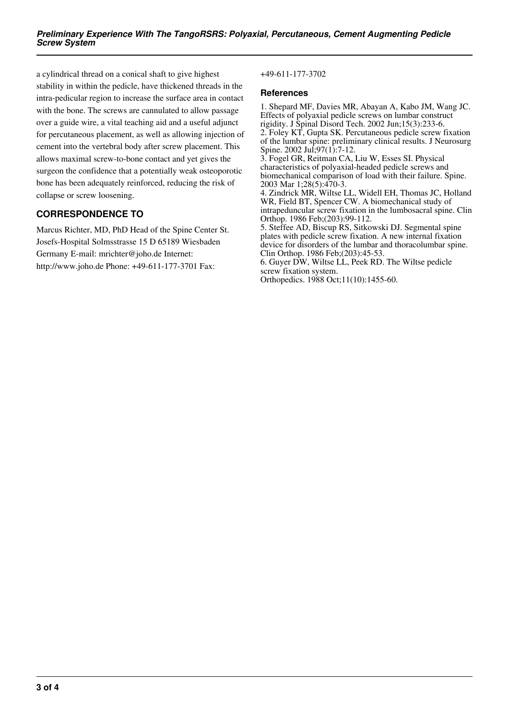a cylindrical thread on a conical shaft to give highest stability in within the pedicle, have thickened threads in the intra-pedicular region to increase the surface area in contact with the bone. The screws are cannulated to allow passage over a guide wire, a vital teaching aid and a useful adjunct for percutaneous placement, as well as allowing injection of cement into the vertebral body after screw placement. This allows maximal screw-to-bone contact and yet gives the surgeon the confidence that a potentially weak osteoporotic bone has been adequately reinforced, reducing the risk of collapse or screw loosening.

# **CORRESPONDENCE TO**

Marcus Richter, MD, PhD Head of the Spine Center St. Josefs-Hospital Solmsstrasse 15 D 65189 Wiesbaden Germany E-mail: mrichter@joho.de Internet: http://www.joho.de Phone: +49-611-177-3701 Fax:

#### +49-611-177-3702

#### **References**

1. Shepard MF, Davies MR, Abayan A, Kabo JM, Wang JC. Effects of polyaxial pedicle screws on lumbar construct rigidity. J Spinal Disord Tech. 2002 Jun;15(3):233-6. 2. Foley KT, Gupta SK. Percutaneous pedicle screw fixation of the lumbar spine: preliminary clinical results. J Neurosurg Spine. 2002 Jul. 97(1): 7-12. 3. Fogel GR, Reitman CA, Liu W, Esses SI. Physical characteristics of polyaxial-headed pedicle screws and biomechanical comparison of load with their failure. Spine. 2003 Mar 1;28(5):470-3. 4. Zindrick MR, Wiltse LL, Widell EH, Thomas JC, Holland WR, Field BT, Spencer CW. A biomechanical study of

intrapeduncular screw fixation in the lumbosacral spine. Clin Orthop. 1986 Feb;(203):99-112.

5. Steffee AD, Biscup RS, Sitkowski DJ. Segmental spine plates with pedicle screw fixation. A new internal fixation device for disorders of the lumbar and thoracolumbar spine. Clin Orthop. 1986 Feb;(203):45-53.

6. Guyer DW, Wiltse LL, Peek RD. The Wiltse pedicle screw fixation system.

Orthopedics. 1988 Oct;11(10):1455-60.